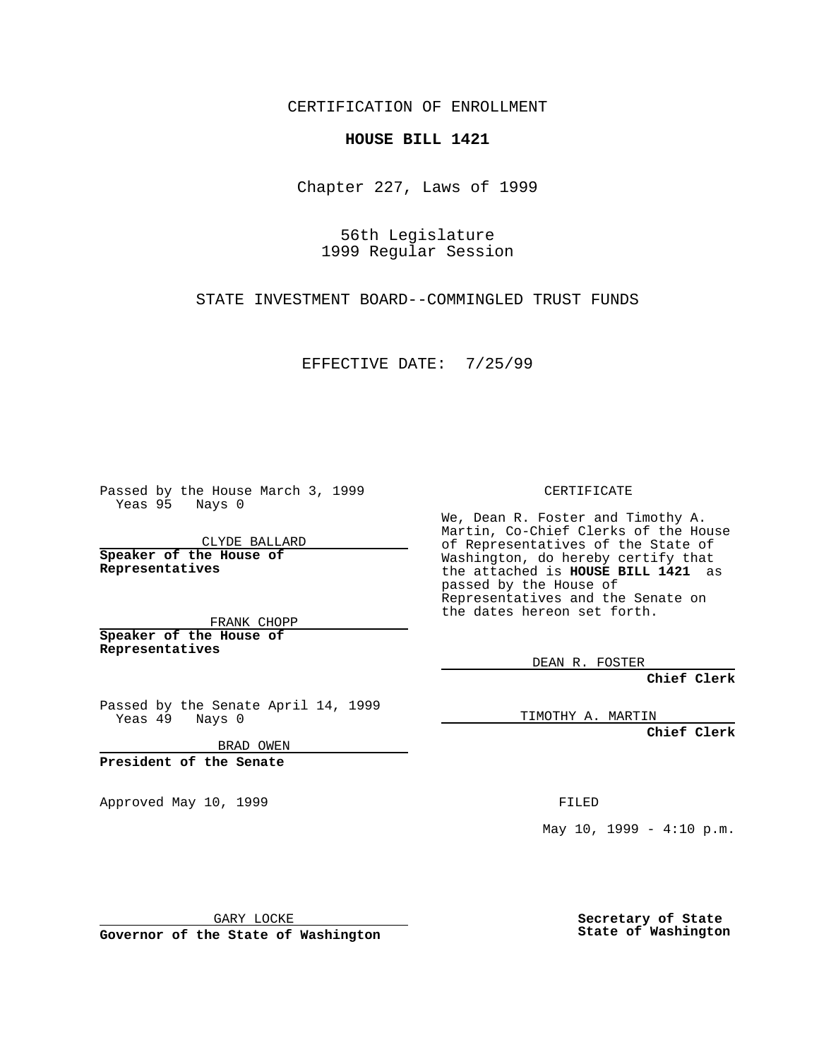CERTIFICATION OF ENROLLMENT

## **HOUSE BILL 1421**

Chapter 227, Laws of 1999

56th Legislature 1999 Regular Session

STATE INVESTMENT BOARD--COMMINGLED TRUST FUNDS

EFFECTIVE DATE: 7/25/99

Passed by the House March 3, 1999 Yeas 95 Nays 0

CLYDE BALLARD **Speaker of the House of Representatives**

FRANK CHOPP **Speaker of the House of Representatives**

Passed by the Senate April 14, 1999 Yeas 49 Nays 0

BRAD OWEN

**President of the Senate**

Approved May 10, 1999 **FILED** 

CERTIFICATE

We, Dean R. Foster and Timothy A. Martin, Co-Chief Clerks of the House of Representatives of the State of Washington, do hereby certify that the attached is **HOUSE BILL 1421** as passed by the House of Representatives and the Senate on the dates hereon set forth.

DEAN R. FOSTER

**Chief Clerk**

TIMOTHY A. MARTIN

**Chief Clerk**

May  $10$ ,  $1999 - 4:10$  p.m.

GARY LOCKE

**Governor of the State of Washington**

**Secretary of State State of Washington**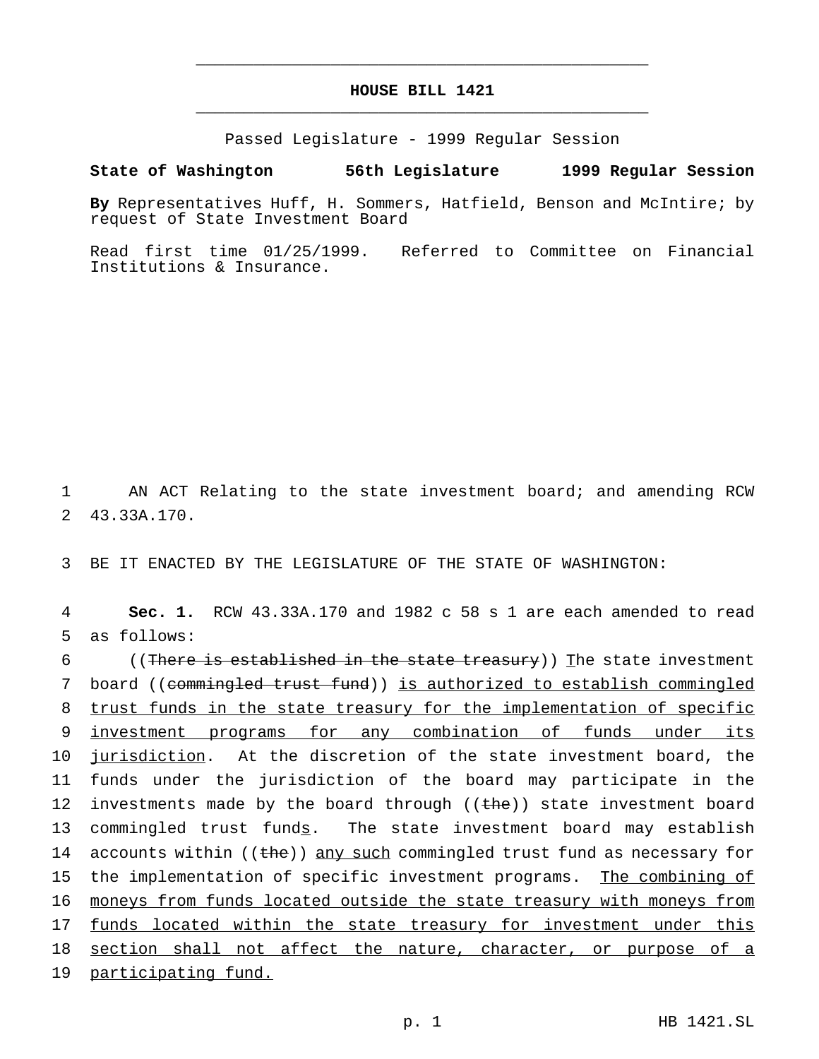## **HOUSE BILL 1421** \_\_\_\_\_\_\_\_\_\_\_\_\_\_\_\_\_\_\_\_\_\_\_\_\_\_\_\_\_\_\_\_\_\_\_\_\_\_\_\_\_\_\_\_\_\_\_

\_\_\_\_\_\_\_\_\_\_\_\_\_\_\_\_\_\_\_\_\_\_\_\_\_\_\_\_\_\_\_\_\_\_\_\_\_\_\_\_\_\_\_\_\_\_\_

Passed Legislature - 1999 Regular Session

## **State of Washington 56th Legislature 1999 Regular Session**

**By** Representatives Huff, H. Sommers, Hatfield, Benson and McIntire; by request of State Investment Board

Read first time 01/25/1999. Referred to Committee on Financial Institutions & Insurance.

1 AN ACT Relating to the state investment board; and amending RCW 2 43.33A.170.

3 BE IT ENACTED BY THE LEGISLATURE OF THE STATE OF WASHINGTON:

4 **Sec. 1.** RCW 43.33A.170 and 1982 c 58 s 1 are each amended to read 5 as follows:

6 ((There is established in the state treasury)) The state investment 7 board ((commingled trust fund)) is authorized to establish commingled 8 trust funds in the state treasury for the implementation of specific 9 investment programs for any combination of funds under its 10 jurisdiction. At the discretion of the state investment board, the 11 funds under the jurisdiction of the board may participate in the 12 investments made by the board through ((the)) state investment board 13 commingled trust funds. The state investment board may establish 14 accounts within ((the)) any such commingled trust fund as necessary for 15 the implementation of specific investment programs. The combining of 16 moneys from funds located outside the state treasury with moneys from 17 funds located within the state treasury for investment under this 18 section shall not affect the nature, character, or purpose of a 19 participating fund.